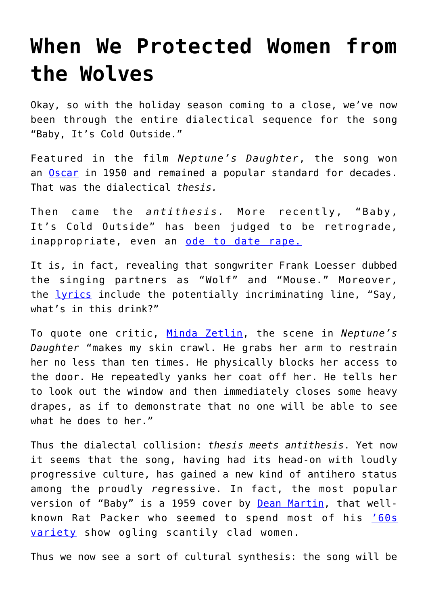## **[When We Protected Women from](https://intellectualtakeout.org/2018/12/when-we-protected-women-from-the-wolves/) [the Wolves](https://intellectualtakeout.org/2018/12/when-we-protected-women-from-the-wolves/)**

Okay, so with the holiday season coming to a close, we've now been through the entire dialectical sequence for the song "Baby, It's Cold Outside."

Featured in the film *Neptune's Daughter*, the song won an [Oscar](https://www.oscars.org/oscars/ceremonies/1950) in 1950 and remained a popular standard for decades. That was the dialectical *thesis.*

Then came the *antithesis.* More recently, "Baby, It's Cold Outside" has been judged to be retrograde, inappropriate, even an [ode to date rape.](https://www.rollingstone.com/culture/culture-news/baby-its-cold-outside-controversy-holiday-song-history-768183/)

It is, in fact, revealing that songwriter Frank Loesser dubbed the singing partners as "Wolf" and "Mouse." Moreover, the [lyrics](https://www.usatoday.com/story/life/music/2018/12/06/baby-its-cold-outside-all-lyrics-controversial-song/2229909002/) include the potentially incriminating line, "Say, what's in this drink?"

To quote one critic, [Minda Zetlin,](https://www.inc.com/minda-zetlin/baby-its-cold-outside-date-rape-kidnap-banned-history-context-william-shatner.html) the scene in *Neptune's Daughter* "makes my skin crawl. He grabs her arm to restrain her no less than ten times. He physically blocks her access to the door. He repeatedly yanks her coat off her. He tells her to look out the window and then immediately closes some heavy drapes, as if to demonstrate that no one will be able to see what he does to her."

Thus the dialectal collision: *thesis meets antithesis*. Yet now it seems that the song, having had its head-on with loudly progressive culture, has gained a new kind of antihero status among the proudly *re*gressive. In fact, the most popular version of "Baby" is a 1959 cover by [Dean Martin](https://www.foxnews.com/entertainment/baby-its-cold-outside-cover-by-dean-martin-soars-to-no-10-amid-controversy), that wellknown Rat Packer who seemed to spend most of his ['60s](https://www.youtube.com/watch?v=9-T3lc2JdlE) [variety](https://www.youtube.com/watch?v=9-T3lc2JdlE) show ogling scantily clad women.

Thus we now see a sort of cultural synthesis: the song will be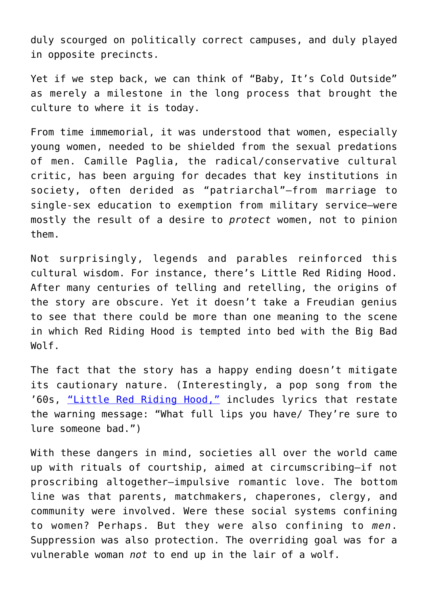duly scourged on politically correct campuses, and duly played in opposite precincts.

Yet if we step back, we can think of "Baby, It's Cold Outside" as merely a milestone in the long process that brought the culture to where it is today.

From time immemorial, it was understood that women, especially young women, needed to be shielded from the sexual predations of men. Camille Paglia, the radical/conservative cultural critic, has been arguing for decades that key institutions in society, often derided as "patriarchal"—from marriage to single-sex education to exemption from military service—were mostly the result of a desire to *protect* women, not to pinion them.

Not surprisingly, legends and parables reinforced this cultural wisdom. For instance, there's Little Red Riding Hood. After many centuries of telling and retelling, the origins of the story are obscure. Yet it doesn't take a Freudian genius to see that there could be more than one meaning to the scene in which Red Riding Hood is tempted into bed with the Big Bad Wolf.

The fact that the story has a happy ending doesn't mitigate its cautionary nature. (Interestingly, a pop song from the '60s, ["Little Red Riding Hood,"](https://www.youtube.com/watch?v=_FA85RO89HA) includes lyrics that restate the warning message: "What full lips you have/ They're sure to lure someone bad.")

With these dangers in mind, societies all over the world came up with rituals of courtship, aimed at circumscribing—if not proscribing altogether—impulsive romantic love. The bottom line was that parents, matchmakers, chaperones, clergy, and community were involved. Were these social systems confining to women? Perhaps. But they were also confining to *men*. Suppression was also protection. The overriding goal was for a vulnerable woman *not* to end up in the lair of a wolf.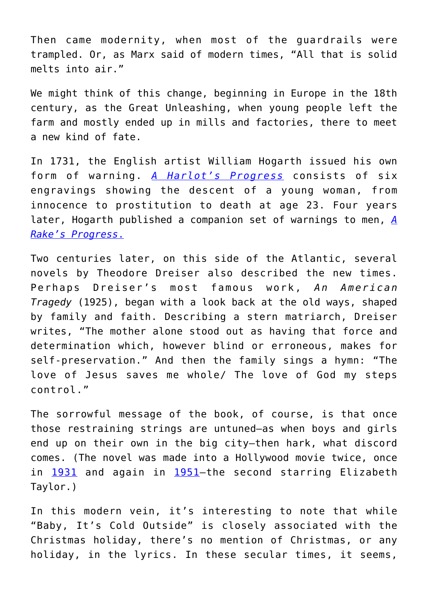Then came modernity, when most of the guardrails were trampled. Or, as Marx said of modern times, "All that is solid melts into air."

We might think of this change, beginning in Europe in the 18th century, as the Great Unleashing, when young people left the farm and mostly ended up in mills and factories, there to meet a new kind of fate.

In 1731, the English artist William Hogarth issued his own form of warning. *[A Harlot's Progress](https://en.wikipedia.org/wiki/A_Harlot)* consists of six engravings showing the descent of a young woman, from innocence to prostitution to death at age 23. Four years later, Hogarth published a companion set of warnings to men, *[A](http://www.artoftheprint.com/artistpages/hogarth_william_arakesprogresscompletesetofeight.htm) [Rake's Progress](http://www.artoftheprint.com/artistpages/hogarth_william_arakesprogresscompletesetofeight.htm)*[.](http://www.artoftheprint.com/artistpages/hogarth_william_arakesprogresscompletesetofeight.htm)

Two centuries later, on this side of the Atlantic, several novels by Theodore Dreiser also described the new times. Perhaps Dreiser's most famous work, *An American Tragedy* (1925), began with a look back at the old ways, shaped by family and faith. Describing a stern matriarch, Dreiser writes, "The mother alone stood out as having that force and determination which, however blind or erroneous, makes for self-preservation." And then the family sings a hymn: "The love of Jesus saves me whole/ The love of God my steps control."

The sorrowful message of the book, of course, is that once those restraining strings are untuned—as when boys and girls end up on their own in the big city—then hark, what discord comes. (The novel was made into a Hollywood movie twice, once in [1931](https://www.imdb.com/title/tt0021607/?ref_=nv_sr_2) and again in [1951](https://www.imdb.com/title/tt0043924/?ref_=nv_sr_1)-the second starring Elizabeth Taylor.)

In this modern vein, it's interesting to note that while "Baby, It's Cold Outside" is closely associated with the Christmas holiday, there's no mention of Christmas, or any holiday, in the lyrics. In these secular times, it seems,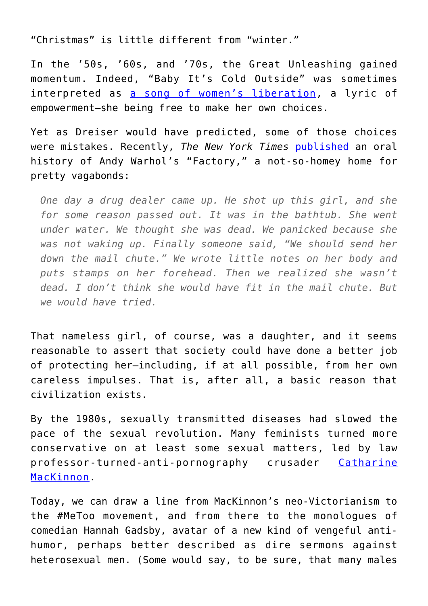"Christmas" is little different from "winter."

In the '50s, '60s, and '70s, the Great Unleashing gained momentum. Indeed, "Baby It's Cold Outside" was sometimes interpreted as [a song of women's liberation](https://variety.com/2018/music/news/baby-its-cold-outside-song-war-1203080834/), a lyric of empowerment—she being free to make her own choices.

Yet as Dreiser would have predicted, some of those choices were mistakes. Recently, *The New York Times* [published](https://www.nytimes.com/2018/11/12/style/andy-warhol-factory-history.html) an oral history of Andy Warhol's "Factory," a not-so-homey home for pretty vagabonds:

*One day a drug dealer came up. He shot up this girl, and she for some reason passed out. It was in the bathtub. She went under water. We thought she was dead. We panicked because she was not waking up. Finally someone said, "We should send her down the mail chute." We wrote little notes on her body and puts stamps on her forehead. Then we realized she wasn't dead. I don't think she would have fit in the mail chute. But we would have tried.*

That nameless girl, of course, was a daughter, and it seems reasonable to assert that society could have done a better job of protecting her—including, if at all possible, from her own careless impulses. That is, after all, a basic reason that civilization exists.

By the 1980s, sexually transmitted diseases had slowed the pace of the sexual revolution. Many feminists turned more conservative on at least some sexual matters, led by law professor-turned-anti-pornography crusader [Catharine](https://en.wikipedia.org/wiki/Catharine_MacKinnon) [MacKinnon.](https://en.wikipedia.org/wiki/Catharine_MacKinnon)

Today, we can draw a line from MacKinnon's neo-Victorianism to the #MeToo movement, and from there to the monologues of comedian Hannah Gadsby, avatar of a new kind of vengeful antihumor, perhaps better described as dire sermons against heterosexual men. (Some would say, to be sure, that many males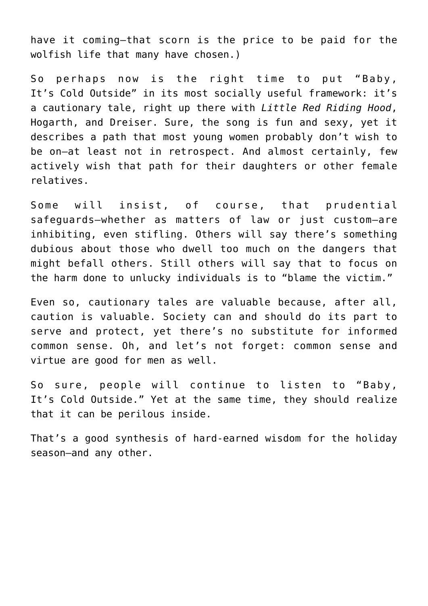have it coming—that scorn is the price to be paid for the wolfish life that many have chosen.)

So perhaps now is the right time to put "Baby, It's Cold Outside" in its most socially useful framework: it's a cautionary tale, right up there with *Little Red Riding Hood*, Hogarth, and Dreiser. Sure, the song is fun and sexy, yet it describes a path that most young women probably don't wish to be on—at least not in retrospect. And almost certainly, few actively wish that path for their daughters or other female relatives.

Some will insist, of course, that prudential safeguards—whether as matters of law or just custom—are inhibiting, even stifling. Others will say there's something dubious about those who dwell too much on the dangers that might befall others. Still others will say that to focus on the harm done to unlucky individuals is to "blame the victim."

Even so, cautionary tales are valuable because, after all, caution is valuable. Society can and should do its part to serve and protect, yet there's no substitute for informed common sense. Oh, and let's not forget: common sense and virtue are good for men as well.

So sure, people will continue to listen to "Baby, It's Cold Outside." Yet at the same time, they should realize that it can be perilous inside.

That's a good synthesis of hard-earned wisdom for the holiday season—and any other.